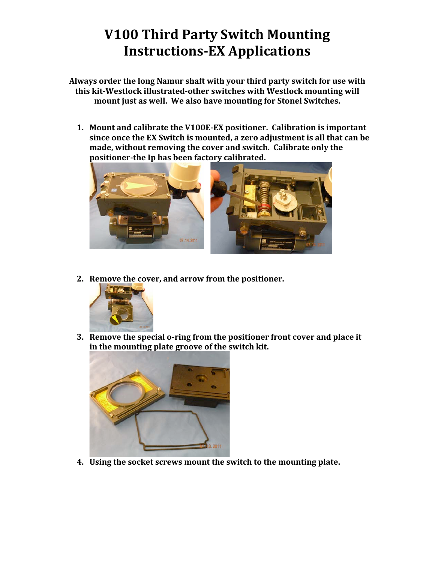## **V100 Third Party Switch Mounting Instructions-EX Applications**

Always order the long Namur shaft with your third party switch for use with this kit-Westlock illustrated-other switches with Westlock mounting will mount just as well. We also have mounting for Stonel Switches.

1. Mount and calibrate the V100E-EX positioner. Calibration is important since once the EX Switch is mounted, a zero adjustment is all that can be made, without removing the cover and switch. Calibrate only the positioner-the Ip has been factory calibrated.



2. Remove the cover, and arrow from the positioner.



3. Remove the special o-ring from the positioner front cover and place it in the mounting plate groove of the switch kit.



4. Using the socket screws mount the switch to the mounting plate.